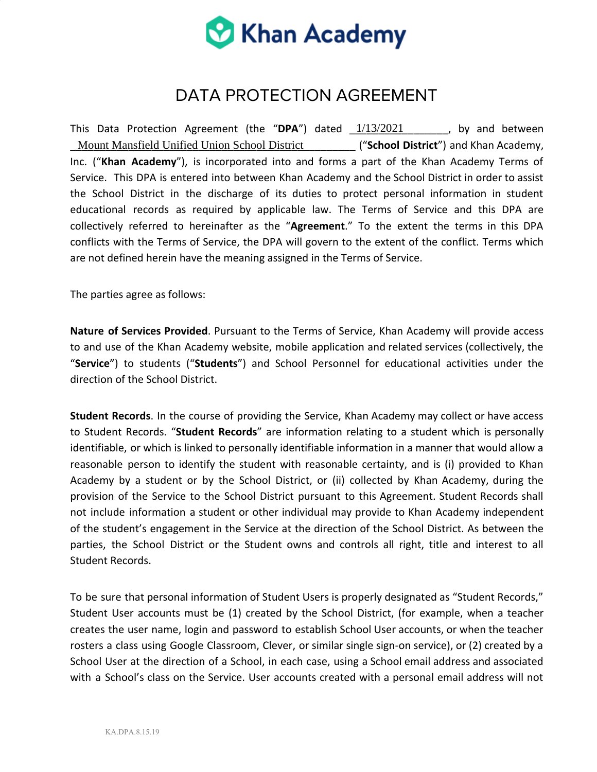

## DATA PROTECTION AGREEMENT

This Data Protection Agreement (the "DPA") dated  $1/13/2021$   $\qquad \qquad$  by and between Mount Mansfield Unified Union School District ("School District") and Khan Academy, Inc. ("Khan Academy"), is incorporated into and forms a part of the Khan Academy Terms of Service. This DPA is entered into between Khan Academy and the School District in order to assist the School District in the discharge of its duties to protect personal information in student educational records as required by applicable law. The Terms of Service and this DPA are collectively referred to hereinafter as the "Agreement." To the extent the terms in this DPA conflicts with the Terms of Service, the DPA will govern to the extent of the conflict. Terms which are not defined herein have the meaning assigned in the Terms of Service.

The parties agree as follows:

Nature of Services Provided. Pursuant to the Terms of Service, Khan Academy will provide access to and use of the Khan Academy website, mobile application and related services (collectively, the "Service") to students ("Students") and School Personnel for educational activities under the direction of the School District.

Student Records. In the course of providing the Service, Khan Academy may collect or have access to Student Records. "Student Records" are information relating to a student which is personally identifiable, or which is linked to personally identifiable information in a manner that would allow a reasonable person to identify the student with reasonable certainty, and is (i) provided to Khan Academy by a student or by the School District, or (ii) collected by Khan Academy, during the provision of the Service to the School District pursuant to this Agreement. Student Records shall not include information a student or other individual may provide to Khan Academy independent of the student's engagement in the Service at the direction of the School District. As between the parties, the School District or the Student owns and controls all right, title and interest to all Student Records.

To be sure that personal information of Student Users is properly designated as "Student Records," Student User accounts must be (1) created by the School District, (for example, when a teacher creates the user name, login and password to establish School User accounts, or when the teacher rosters a class using Google Classroom, Clever, or similar single sign-on service), or (2) created by a School User at the direction of a School, in each case, using a School email address and associated with a School's class on the Service. User accounts created with a personal email address will not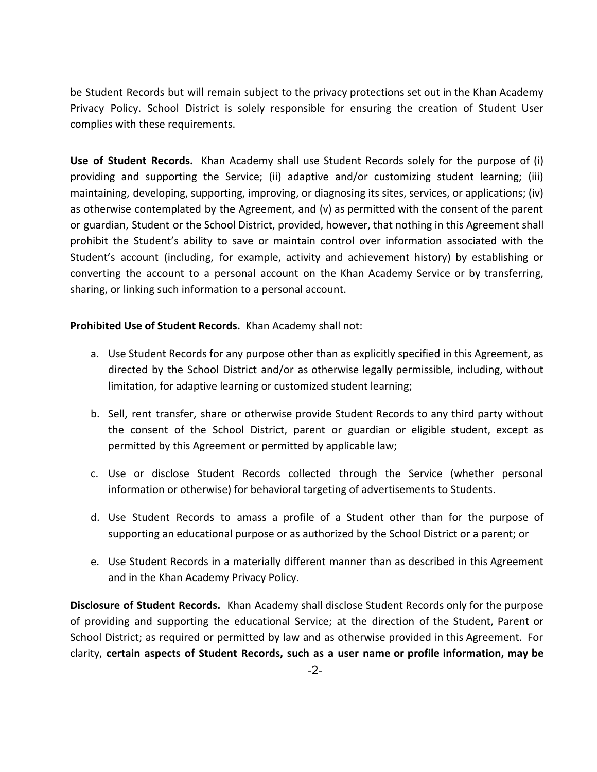be Student Records but will remain subject to the privacy protections set out in the Khan Academy Privacy Policy. School District is solely responsible for ensuring the creation of Student User complies with these requirements.

Use of Student Records. Khan Academy shall use Student Records solely for the purpose of (i) providing and supporting the Service; (ii) adaptive and/or customizing student learning; (iii) maintaining, developing, supporting, improving, or diagnosing its sites, services, or applications; (iv) as otherwise contemplated by the Agreement, and (v) as permitted with the consent of the parent or guardian, Student or the School District, provided, however, that nothing in this Agreement shall prohibit the Student's ability to save or maintain control over information associated with the Student's account (including, for example, activity and achievement history) by establishing or converting the account to a personal account on the Khan Academy Service or by transferring, sharing, or linking such information to a personal account.

## Prohibited Use of Student Records. Khan Academy shall not:

- a. Use Student Records for any purpose other than as explicitly specified in this Agreement, as directed by the School District and/or as otherwise legally permissible, including, without limitation, for adaptive learning or customized student learning;
- b. Sell, rent transfer, share or otherwise provide Student Records to any third party without the consent of the School District, parent or guardian or eligible student, except as permitted by this Agreement or permitted by applicable law;
- c. Use or disclose Student Records collected through the Service (whether personal information or otherwise) for behavioral targeting of advertisements to Students.
- d. Use Student Records to amass a profile of a Student other than for the purpose of supporting an educational purpose or as authorized by the School District or a parent; or
- e. Use Student Records in a materially different manner than as described in this Agreement and in the Khan Academy Privacy Policy.

Disclosure of Student Records. Khan Academy shall disclose Student Records only for the purpose of providing and supporting the educational Service; at the direction of the Student, Parent or School District; as required or permitted by law and as otherwise provided in this Agreement. For clarity, certain aspects of Student Records, such as a user name or profile information, may be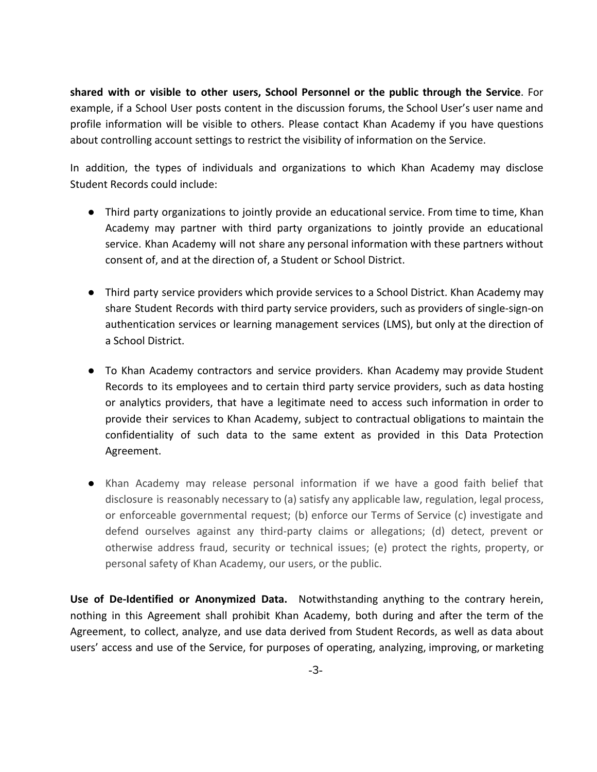shared with or visible to other users, School Personnel or the public through the Service. For example, if a School User posts content in the discussion forums, the School User's user name and profile information will be visible to others. Please contact Khan Academy if you have questions about controlling account settings to restrict the visibility of information on the Service.

In addition, the types of individuals and organizations to which Khan Academy may disclose Student Records could include:

- Third party organizations to jointly provide an educational service. From time to time, Khan Academy may partner with third party organizations to jointly provide an educational service. Khan Academy will not share any personal information with these partners without consent of, and at the direction of, a Student or School District.
- Third party service providers which provide services to a School District. Khan Academy may share Student Records with third party service providers, such as providers of single-sign-on authentication services or learning management services (LMS), but only at the direction of a School District.
- To Khan Academy contractors and service providers. Khan Academy may provide Student Records to its employees and to certain third party service providers, such as data hosting or analytics providers, that have a legitimate need to access such information in order to provide their services to Khan Academy, subject to contractual obligations to maintain the confidentiality of such data to the same extent as provided in this Data Protection Agreement.
- Khan Academy may release personal information if we have a good faith belief that disclosure is reasonably necessary to (a) satisfy any applicable law, regulation, legal process, or enforceable governmental request; (b) enforce our Terms of Service (c) investigate and defend ourselves against any third-party claims or allegations; (d) detect, prevent or otherwise address fraud, security or technical issues; (e) protect the rights, property, or personal safety of Khan Academy, our users, or the public.

Use of De-Identified or Anonymized Data. Notwithstanding anything to the contrary herein, nothing in this Agreement shall prohibit Khan Academy, both during and after the term of the Agreement, to collect, analyze, and use data derived from Student Records, as well as data about users' access and use of the Service, for purposes of operating, analyzing, improving, or marketing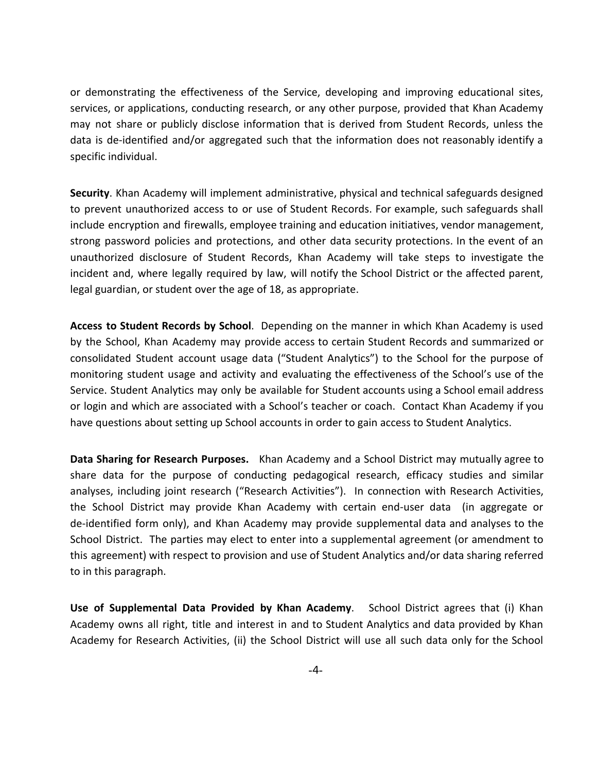or demonstrating the effectiveness of the Service, developing and improving educational sites, services, or applications, conducting research, or any other purpose, provided that Khan Academy may not share or publicly disclose information that is derived from Student Records, unless the data is de-identified and/or aggregated such that the information does not reasonably identify a specific individual.

Security. Khan Academy will implement administrative, physical and technical safeguards designed to prevent unauthorized access to or use of Student Records. For example, such safeguards shall include encryption and firewalls, employee training and education initiatives, vendor management, strong password policies and protections, and other data security protections. In the event of an unauthorized disclosure of Student Records, Khan Academy will take steps to investigate the incident and, where legally required by law, will notify the School District or the affected parent, legal guardian, or student over the age of 18, as appropriate.

Access to Student Records by School. Depending on the manner in which Khan Academy is used by the School, Khan Academy may provide access to certain Student Records and summarized or consolidated Student account usage data ("Student Analytics") to the School for the purpose of monitoring student usage and activity and evaluating the effectiveness of the School's use of the Service. Student Analytics may only be available for Student accounts using a School email address or login and which are associated with a School's teacher or coach. Contact Khan Academy if you have questions about setting up School accounts in order to gain access to Student Analytics.

Data Sharing for Research Purposes. Khan Academy and a School District may mutually agree to share data for the purpose of conducting pedagogical research, efficacy studies and similar analyses, including joint research ("Research Activities"). In connection with Research Activities, the School District may provide Khan Academy with certain end-user data (in aggregate or de-identified form only), and Khan Academy may provide supplemental data and analyses to the School District. The parties may elect to enter into a supplemental agreement (or amendment to this agreement) with respect to provision and use of Student Analytics and/or data sharing referred to in this paragraph.

Use of Supplemental Data Provided by Khan Academy. School District agrees that (i) Khan Academy owns all right, title and interest in and to Student Analytics and data provided by Khan Academy for Research Activities, (ii) the School District will use all such data only for the School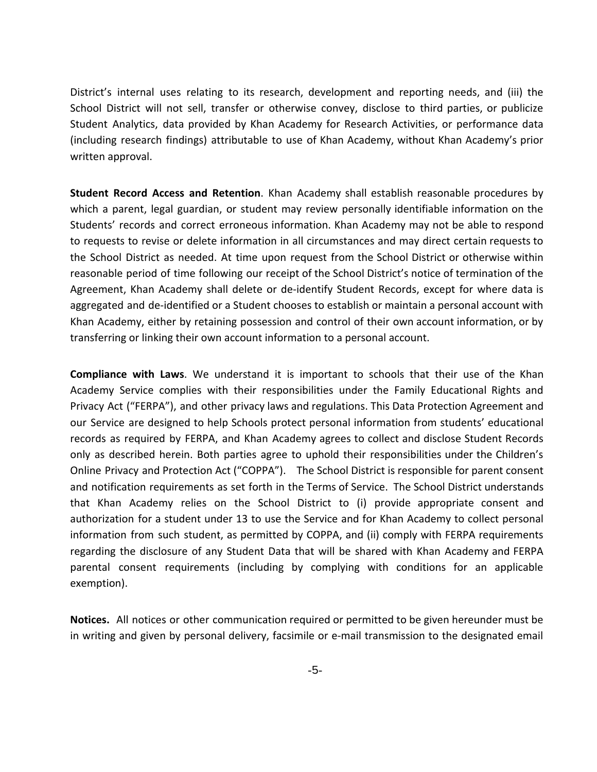District's internal uses relating to its research, development and reporting needs, and (iii) the School District will not sell, transfer or otherwise convey, disclose to third parties, or publicize Student Analytics, data provided by Khan Academy for Research Activities, or performance data (including research findings) attributable to use of Khan Academy, without Khan Academy's prior written approval.

Student Record Access and Retention. Khan Academy shall establish reasonable procedures by which a parent, legal guardian, or student may review personally identifiable information on the Students' records and correct erroneous information. Khan Academy may not be able to respond to requests to revise or delete information in all circumstances and may direct certain requests to the School District as needed. At time upon request from the School District or otherwise within reasonable period of time following our receipt of the School District's notice of termination of the Agreement, Khan Academy shall delete or de-identify Student Records, except for where data is aggregated and de-identified or a Student chooses to establish or maintain a personal account with Khan Academy, either by retaining possession and control of their own account information, or by transferring or linking their own account information to a personal account.

**Compliance with Laws.** We understand it is important to schools that their use of the Khan Academy Service complies with their responsibilities under the Family Educational Rights and Privacy Act ("FERPA"), and other privacy laws and regulations. This Data Protection Agreement and our Service are designed to help Schools protect personal information from students' educational records as required by FERPA, and Khan Academy agrees to collect and disclose Student Records only as described herein. Both parties agree to uphold their responsibilities under the Children's Online Privacy and Protection Act ("COPPA"). The School District is responsible for parent consent and notification requirements as set forth in the Terms of Service. The School District understands that Khan Academy relies on the School District to (i) provide appropriate consent and authorization for a student under 13 to use the Service and for Khan Academy to collect personal information from such student, as permitted by COPPA, and (ii) comply with FERPA requirements regarding the disclosure of any Student Data that will be shared with Khan Academy and FERPA parental consent requirements (including by complying with conditions for an applicable exemption).

Notices. All notices or other communication required or permitted to be given hereunder must be in writing and given by personal delivery, facsimile or e-mail transmission to the designated email